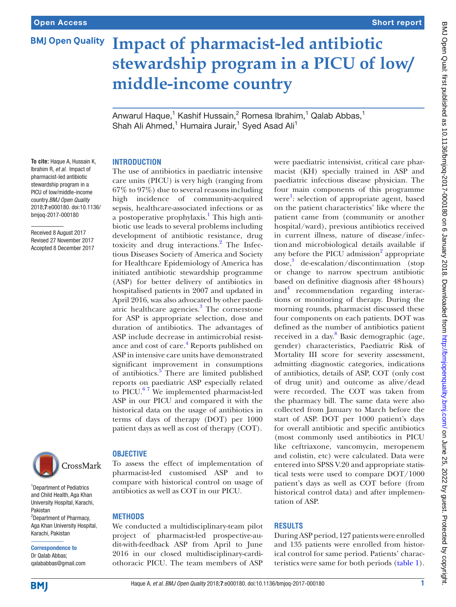# **BMJ Open Quality**

# **Impact of pharmacist-led antibiotic stewardship program in a PICU of low/ middle-income country**

Anwarul Haque, $^1$  Kashif Hussain, $^2$  Romesa Ibrahim, $^1$  Qalab Abbas, $^1$ Shah Ali Ahmed,<sup>1</sup> Humaira Jurair,<sup>1</sup> Syed Asad Ali<sup>1</sup>

#### **Introduction**

**To cite:** Haque A, Hussain K, Ibrahim R, *et al*. Impact of pharmacist-led antibiotic stewardship program in a PICU of low/middle-income country.*BMJ Open Quality* 2018;7:e000180. doi:10.1136/ bmjoq-2017-000180

Received 8 August 2017 Revised 27 November 2017 Accepted 8 December 2017



<sup>1</sup>Department of Pediatrics and Child Health, Aga Khan University Hospital, Karachi, Pakistan <sup>2</sup>Department of Pharmacy, Aga Khan University Hospital, Karachi, Pakistan

Correspondence to Dr Qalab Abbas; qalababbas@gmail.com The use of antibiotics in paediatric intensive care units (PICU) is very high (ranging from 67% to 97%) due to several reasons including high incidence of community-acquired sepsis, healthcare-associated infections or as a postoperative prophylaxis.<sup>[1](#page-2-0)</sup> This high antibiotic use leads to several problems including development of antibiotic resistance, drug toxicity and drug interactions.<sup>[2](#page-2-1)</sup> The Infectious Diseases Society of America and Society for Healthcare Epidemiology of America has initiated antibiotic stewardship programme (ASP) for better delivery of antibiotics in hospitalised patients in 2007 and updated in April 2016, was also advocated by other paedi-atric healthcare agencies.<sup>[3](#page-2-2)</sup> The cornerstone for ASP is appropriate selection, dose and duration of antibiotics. The advantages of ASP include decrease in antimicrobial resist-ance and cost of care.<sup>[4](#page-2-3)</sup> Reports published on ASP in intensive care units have demonstrated significant improvement in consumptions of antibiotics.<sup>[5](#page-2-4)</sup> There are limited published reports on paediatric ASP especially related to PICU. $67$  We implemented pharmacist-led ASP in our PICU and compared it with the historical data on the usage of antibiotics in terms of days of therapy (DOT) per 1000 patient days as well as cost of therapy (COT).



To assess the effect of implementation of pharmacist-led customised ASP and to compare with historical control on usage of antibiotics as well as COT in our PICU.

### **Methods**

We conducted a multidisciplinary-team pilot project of pharmacist-led prospective-audit-with-feedback ASP from April to June 2016 in our closed multidisciplinary-cardiothoracic PICU. The team members of ASP

were paediatric intensivist, critical care pharmacist (KH) specially trained in ASP and paediatric infectious disease physician. The four main components of this programme were<sup>[1](#page-2-0)</sup>: selection of appropriate agent, based on the patient characteristics' like where the patient came from (community or another hospital/ward), previous antibiotics received in current illness, nature of disease/infectionand microbiological details available if any before the PICU admission<sup>2</sup> appropriate dose,<sup>[3](#page-2-2)</sup> de-escalation/discontinuation (stop or change to narrow spectrum antibiotic based on definitive diagnosis after 48hours) and<sup>[4](#page-2-3)</sup> recommendation regarding interactions or monitoring of therapy. During the morning rounds, pharmacist discussed these four components on each patients. DOT was defined as the number of antibiotics patient received in a day.<sup>[8](#page-2-6)</sup> Basic demographic (age, gender) characteristics, Paediatric Risk of Mortality III score for severity assessment, admitting diagnostic categories, indications of antibiotics, details of ASP, COT (only cost of drug unit) and outcome as alive/dead were recorded. The COT was taken from the pharmacy bill. The same data were also collected from January to March before the start of ASP. DOT per 1000 patient's days for overall antibiotic and specific antibiotics (most commonly used antibiotics in PICU like ceftriaxone, vancomycin, meropenem and colistin, etc) were calculated. Data were entered into SPSS V.20 and appropriate statistical tests were used to compare DOT/1000 patient's days as well as COT before (from historical control data) and after implementation of ASP.

### **Results**

During ASP period, 127 patients were enrolled and 135 patients were enrolled from historical control for same period. Patients' characteristics were same for both periods ([table](#page-1-0) 1).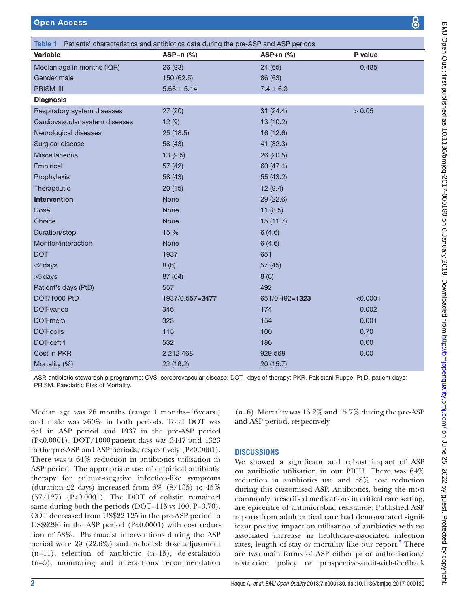Open Access

<span id="page-1-0"></span>

| Patients' characteristics and antibiotics data during the pre-ASP and ASP periods<br>Table 1 |                 |                |          |
|----------------------------------------------------------------------------------------------|-----------------|----------------|----------|
| <b>Variable</b>                                                                              | ASP-n $(%)$     | $ASP+n$ (%)    | P value  |
| Median age in months (IQR)                                                                   | 26 (93)         | 24 (65)        | 0.485    |
| Gender male                                                                                  | 150 (62.5)      | 86 (63)        |          |
| PRISM-III                                                                                    | $5.68 \pm 5.14$ | $7.4 \pm 6.3$  |          |
| <b>Diagnosis</b>                                                                             |                 |                |          |
| Respiratory system diseases                                                                  | 27(20)          | 31(24.4)       | > 0.05   |
| Cardiovascular system diseases                                                               | 12(9)           | 13(10.2)       |          |
| Neurological diseases                                                                        | 25(18.5)        | 16 (12.6)      |          |
| Surgical disease                                                                             | 58 (43)         | 41 (32.3)      |          |
| Miscellaneous                                                                                | 13(9.5)         | 26 (20.5)      |          |
| Empirical                                                                                    | 57 (42)         | 60 (47.4)      |          |
| Prophylaxis                                                                                  | 58 (43)         | 55 (43.2)      |          |
| Therapeutic                                                                                  | 20(15)          | 12(9.4)        |          |
| <b>Intervention</b>                                                                          | <b>None</b>     | 29 (22.6)      |          |
| <b>Dose</b>                                                                                  | None            | 11(8.5)        |          |
| Choice                                                                                       | None            | 15(11.7)       |          |
| Duration/stop                                                                                | 15 %            | 6(4.6)         |          |
| Monitor/interaction                                                                          | <b>None</b>     | 6(4.6)         |          |
| <b>DOT</b>                                                                                   | 1937            | 651            |          |
| <2 days                                                                                      | 8(6)            | 57 (45)        |          |
| >5 days                                                                                      | 87 (64)         | 8(6)           |          |
| Patient's days (PtD)                                                                         | 557             | 492            |          |
| DOT/1000 PtD                                                                                 | 1937/0.557=3477 | 651/0.492=1323 | < 0.0001 |
| DOT-vanco                                                                                    | 346             | 174            | 0.002    |
| DOT-mero                                                                                     | 323             | 154            | 0.001    |
| DOT-colis                                                                                    | 115             | 100            | 0.70     |
| DOT-ceftri                                                                                   | 532             | 186            | 0.00     |
| Cost in PKR                                                                                  | 2 212 468       | 929 568        | 0.00     |
| Mortality (%)                                                                                | 22 (16.2)       | 20 (15.7)      |          |

ASP, antibiotic stewardship programme; CVS, cerebrovascular disease; DOT, days of therapy; PKR, Pakistani Rupee; Pt D, patient days; PRISM, Paediatric Risk of Mortality.

Median age was 26 months (range 1 months−16years.) and male was >60% in both periods. Total DOT was 651 in ASP period and 1937 in the pre-ASP period (P<0.0001). DOT/1000patient days was 3447 and 1323 in the pre-ASP and ASP periods, respectively (P<0.0001). There was a 64% reduction in antibiotics utilisation in ASP period. The appropriate use of empirical antibiotic therapy for culture-negative infection-like symptoms (duration  $\leq$  days) increased from 6% (8/135) to 45% (57/127) (P<0.0001). The DOT of colistin remained same during both the periods (DOT=115 vs 100, P=0.70). COT decreased from US\$22 125 in the pre-ASP period to US\$9296 in the ASP period (P<0.0001) with cost reduction of 58%. Pharmacist interventions during the ASP period were 29 (22.6%) and included: dose adjustment (n=11), selection of antibiotic (n=15), de-escalation (n=5), monitoring and interactions recommendation

(n=6). Mortality was 16.2% and 15.7% during the pre-ASP and ASP period, respectively.

## **Discussions**

We showed a significant and robust impact of ASP on antibiotic utilisation in our PICU. There was 64% reduction in antibiotics use and 58% cost reduction during this customised ASP. Antibiotics, being the most commonly prescribed medications in critical care setting, are epicentre of antimicrobial resistance. Published ASP reports from adult critical care had demonstrated significant positive impact on utilisation of antibiotics with no associated increase in healthcare-associated infection rates, length of stay or mortality like our report.<sup>5</sup> There are two main forms of ASP either prior authorisation/ restriction policy or prospective-audit-with-feedback